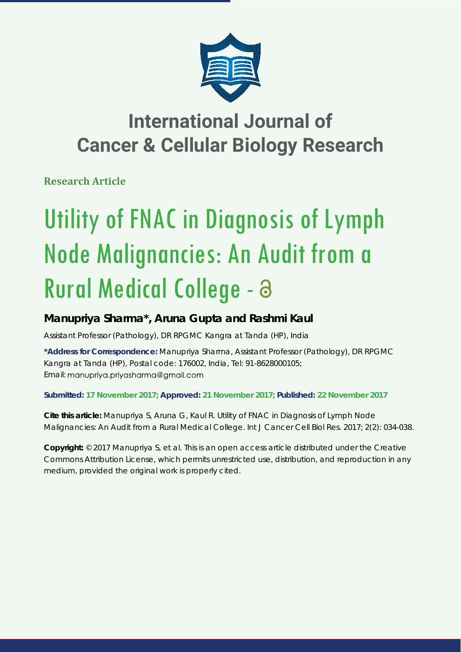

## **International Journal of Cancer & Cellular Biology Research**

**Research Article**

# Utility of FNAC in Diagnosis of Lymph Node Malignancies: An Audit from a Rural Medical College -

### **Manupriya Sharma\*, Aruna Gupta and Rashmi Kaul**

*Assistant Professor (Pathology), DR RPGMC Kangra at Tanda (HP), India*

**\*Address for Correspondence:** Manupriya Sharma, Assistant Professor (Pathology), DR RPGMC Kangra at Tanda (HP), Postal code: 176002, India, Tel: 91-8628000105; Email: manupriya.priyasharma@gmail.com

**Submitted: 17 November 2017; Approved: 21 November 2017; Published: 22 November 2017**

**Cite this article:** Manupriya S, Aruna G, Kaul R. Utility of FNAC in Diagnosis of Lymph Node Malignancies: An Audit from a Rural Medical College. Int J Cancer Cell Biol Res. 2017; 2(2): 034-038.

**Copyright:** © 2017 Manupriya S, et al. This is an open access article distributed under the Creative Commons Attribution License, which permits unrestricted use, distribution, and reproduction in any medium, provided the original work is properly cited.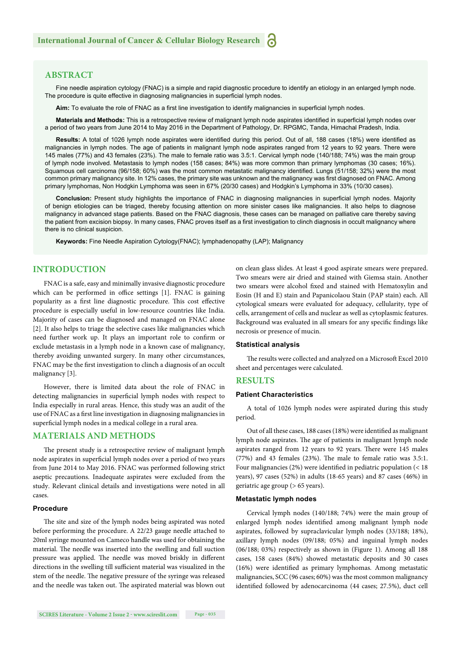#### **ABSTRACT**

Fine needle aspiration cytology (FNAC) is a simple and rapid diagnostic procedure to identify an etiology in an enlarged lymph node. The procedure is quite effective in diagnosing malignancies in superficial lymph nodes.

Aim: To evaluate the role of FNAC as a first line investigation to identify malignancies in superficial lymph nodes.

**Materials and Methods:** This is a retrospective review of malignant lymph node aspirates identified in superficial lymph nodes over a period of two years from June 2014 to May 2016 in the Department of Pathology, Dr. RPGMC, Tanda, Himachal Pradesh, India.

Results: A total of 1026 lymph node aspirates were identified during this period. Out of all, 188 cases (18%) were identified as malignancies in lymph nodes. The age of patients in malignant lymph node aspirates ranged from 12 years to 92 years. There were 145 males (77%) and 43 females (23%). The male to female ratio was 3.5:1. Cervical lymph node (140/188; 74%) was the main group of lymph node involved. Metastasis to lymph nodes (158 cases; 84%) was more common than primary lymphomas (30 cases; 16%). Squamous cell carcinoma (96/158; 60%) was the most common metastatic malignancy identified. Lungs (51/158; 32%) were the most common primary malignancy site. In 12% cases, the primary site was unknown and the malignancy was first diagnosed on FNAC. Among primary lymphomas, Non Hodgkin Lymphoma was seen in 67% (20/30 cases) and Hodgkin's Lymphoma in 33% (10/30 cases).

Conclusion: Present study highlights the importance of FNAC in diagnosing malignancies in superficial lymph nodes. Majority of benign etiologies can be triaged, thereby focusing attention on more sinister cases like malignancies. It also helps to diagnose malignancy in advanced stage patients. Based on the FNAC diagnosis, these cases can be managed on palliative care thereby saving the patient from excision biopsy. In many cases, FNAC proves itself as a first investigation to clinch diagnosis in occult malignancy where there is no clinical suspicion.

**Keywords:** Fine Needle Aspiration Cytology(FNAC); lymphadenopathy (LAP); Malignancy

#### **INTRODUCTION**

FNAC is a safe, easy and minimally invasive diagnostic procedure which can be performed in office settings  $[1]$ . FNAC is gaining popularity as a first line diagnostic procedure. This cost effective procedure is especially useful in low-resource countries like India. Majority of cases can be diagnosed and managed on FNAC alone [2]. It also helps to triage the selective cases like malignancies which need further work up. It plays an important role to confirm or exclude metastasis in a lymph node in a known case of malignancy, thereby avoiding unwanted surgery. In many other circumstances, FNAC may be the first investigation to clinch a diagnosis of an occult malignancy [3].

However, there is limited data about the role of FNAC in detecting malignancies in superficial lymph nodes with respect to India especially in rural areas. Hence, this study was an audit of the use of FNAC as a first line investigation in diagnosing malignancies in superficial lymph nodes in a medical college in a rural area.

#### **MATERIALS AND METHODS**

The present study is a retrospective review of malignant lymph node aspirates in superficial lymph nodes over a period of two years from June 2014 to May 2016. FNAC was performed following strict aseptic precautions. Inadequate aspirates were excluded from the study. Relevant clinical details and investigations were noted in all cases.

#### **Procedure**

The site and size of the lymph nodes being aspirated was noted before performing the procedure. A 22/23 gauge needle attached to 20ml syringe mounted on Cameco handle was used for obtaining the material. The needle was inserted into the swelling and full suction pressure was applied. The needle was moved briskly in different directions in the swelling till sufficient material was visualized in the stem of the needle. The negative pressure of the syringe was released and the needle was taken out. The aspirated material was blown out

on clean glass slides. At least 4 good aspirate smears were prepared. Two smears were air dried and stained with Giemsa stain. Another two smears were alcohol fixed and stained with Hematoxylin and Eosin (H and E) stain and Papanicolaou Stain (PAP stain) each. All cytological smears were evaluated for adequacy, cellularity, type of cells, arrangement of cells and nuclear as well as cytoplasmic features. Background was evaluated in all smears for any specific findings like necrosis or presence of mucin.

#### **Statistical analysis**

The results were collected and analyzed on a Microsoft Excel 2010 sheet and percentages were calculated.

#### **RESULTS**

#### **Patient Characteristics**

A total of 1026 lymph nodes were aspirated during this study period.

Out of all these cases, 188 cases (18%) were identified as malignant lymph node aspirates. The age of patients in malignant lymph node aspirates ranged from 12 years to 92 years. There were 145 males  $(77%)$  and 43 females  $(23%)$ . The male to female ratio was  $3.5:1$ . Four malignancies (2%) were identified in pediatric population ( $<$  18 years), 97 cases (52%) in adults (18-65 years) and 87 cases (46%) in geriatric age group (> 65 years).

#### **Metastatic lymph nodes**

Cervical lymph nodes (140/188; 74%) were the main group of enlarged lymph nodes identified among malignant lymph node aspirates, followed by supraclavicular lymph nodes (33/188; 18%), axillary lymph nodes (09/188; 05%) and inguinal lymph nodes (06/188; 03%) respectively as shown in (Figure 1). Among all 188 cases, 158 cases (84%) showed metastatic deposits and 30 cases (16%) were identified as primary lymphomas. Among metastatic malignancies, SCC (96 cases; 60%) was the most common malignancy identified followed by adenocarcinoma (44 cases; 27.5%), duct cell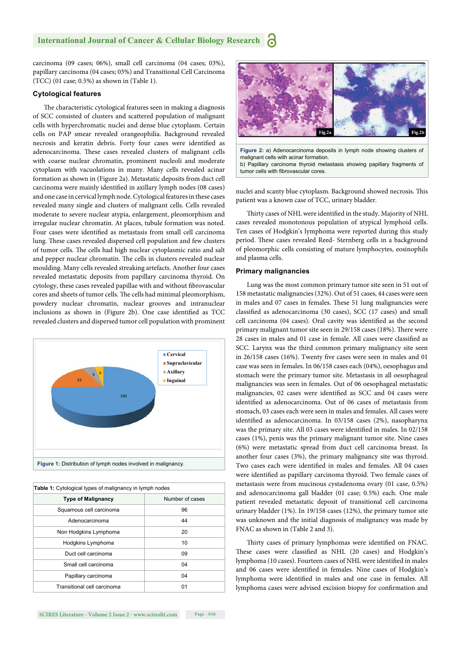#### **International Journal of Cancer & Cellular Biology Research** a

carcinoma (09 cases; 06%), small cell carcinoma (04 cases; 03%), papillary carcinoma (04 cases; 03%) and Transitional Cell Carcinoma (TCC) (01 case; 0.5%) as shown in (Table 1).

#### **Cytological features**

The characteristic cytological features seen in making a diagnosis of SCC consisted of clusters and scattered population of malignant cells with hyperchromatic nuclei and dense blue cytoplasm. Certain cells on PAP smear revealed orangeophilia. Background revealed necrosis and keratin debris. Forty four cases were identified as adenocarcinoma. These cases revealed clusters of malignant cells with coarse nuclear chromatin, prominent nucleoli and moderate cytoplasm with vacuolations in many. Many cells revealed acinar formation as shown in (Figure 2a). Metastatic deposits from duct cell carcinoma were mainly identified in axillary lymph nodes (08 cases) and one case in cervical lymph node. Cytological features in these cases revealed many single and clusters of malignant cells. Cells revealed moderate to severe nuclear atypia, enlargement, pleomorphism and irregular nuclear chromatin. At places, tubule formation was noted. Four cases were identified as metastasis from small cell carcinoma lung. These cases revealed dispersed cell population and few clusters of tumor cells. The cells had high nuclear cytoplasmic ratio and salt and pepper nuclear chromatin. The cells in clusters revealed nuclear moulding. Many cells revealed streaking artefacts. Another four cases revealed metastatic deposits from papillary carcinoma thyroid. On cytology, these cases revealed papillae with and without fibrovascular cores and sheets of tumor cells. The cells had minimal pleomorphism, powdery nuclear chromatin, nuclear grooves and intranuclear inclusions as shown in (Figure 2b). One case identified as TCC revealed clusters and dispersed tumor cell population with prominent



| <b>Table 1:</b> Cytological types of malignancy in lymph nodes |  |  |
|----------------------------------------------------------------|--|--|
| Number of cases                                                |  |  |
| 96                                                             |  |  |
| 44                                                             |  |  |
| 20                                                             |  |  |
| 10                                                             |  |  |
| 09                                                             |  |  |
| 04                                                             |  |  |
| 04                                                             |  |  |
| 01                                                             |  |  |
|                                                                |  |  |



**Figure 2:** a) Adenocarcinoma deposits in lymph node showing clusters of malignant cells with acinar formation. b) Papillary carcinoma thyroid metastasis showing papillary fragments of tumor cells with fibrovascular cores.

nuclei and scanty blue cytoplasm. Background showed necrosis. This patient was a known case of TCC, urinary bladder.

Thirty cases of NHL were identified in the study. Majority of NHL cases revealed monotonous population of atypical lymphoid cells. Ten cases of Hodgkin's lymphoma were reported during this study period. These cases revealed Reed- Sternberg cells in a background of pleomorphic cells consisting of mature lymphocytes, eosinophils and plasma cells.

#### **Primary malignancies**

Lung was the most common primary tumor site seen in 51 out of 158 metastatic malignancies (32%). Out of 51 cases, 44 cases were seen in males and 07 cases in females. These 51 lung malignancies were classified as adenocarcinoma (30 cases), SCC (17 cases) and small cell carcinoma (04 cases). Oral cavity was identified as the second primary malignant tumor site seen in 29/158 cases (18%). There were 28 cases in males and 01 case in female. All cases were classified as SCC. Larynx was the third common primary malignancy site seen in  $26/158$  cases (16%). Twenty five cases were seen in males and 01 case was seen in females. In 06/158 cases each (04%), oesophagus and stomach were the primary tumor site. Metastasis in all oesophageal malignancies was seen in females. Out of 06 oesophageal metastatic malignancies, 02 cases were identified as SCC and 04 cases were identified as adenocarcinoma. Out of 06 cases of metastasis from stomach, 03 cases each were seen in males and females. All cases were identified as adenocarcinoma. In 03/158 cases (2%), nasopharynx was the primary site. All 03 cases were identified in males. In 02/158 cases (1%), penis was the primary malignant tumor site. Nine cases (6%) were metastatic spread from duct cell carcinoma breast. In another four cases (3%), the primary malignancy site was thyroid. Two cases each were identified in males and females. All 04 cases were identified as papillary carcinoma thyroid. Two female cases of metastasis were from mucinous cystadenoma ovary (01 case, 0.5%) and adenocarcinoma gall bladder (01 case; 0.5%) each. One male patient revealed metastatic deposit of transitional cell carcinoma urinary bladder (1%). In 19/158 cases (12%), the primary tumor site was unknown and the initial diagnosis of malignancy was made by FNAC as shown in (Table 2 and 3).

Thirty cases of primary lymphomas were identified on FNAC. These cases were classified as NHL (20 cases) and Hodgkin's lymphoma (10 cases). Fourteen cases of NHL were identified in males and 06 cases were identified in females. Nine cases of Hodgkin's lymphoma were identified in males and one case in females. All lymphoma cases were advised excision biopsy for confirmation and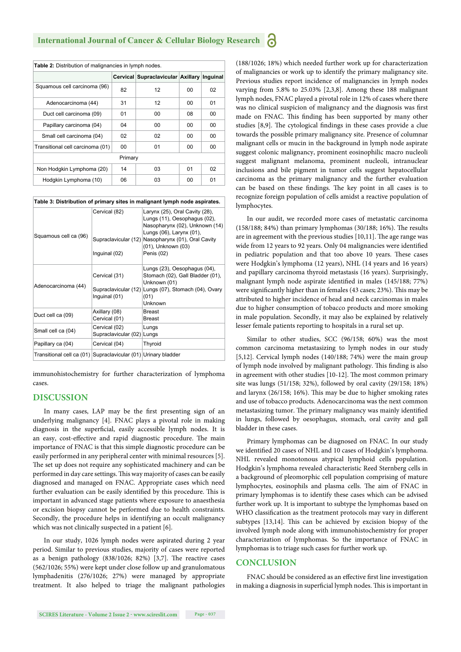| Table 2: Distribution of malignancies in lymph nodes. |    |                                            |    |    |  |
|-------------------------------------------------------|----|--------------------------------------------|----|----|--|
|                                                       |    | Cervical Supraclavicular Axillary Inguinal |    |    |  |
| Squamous cell carcinoma (96)                          | 82 | 12                                         | 00 | 02 |  |
| Adenocarcinoma (44)                                   | 31 | 12                                         | 00 | 01 |  |
| Duct cell carcinoma (09)                              | 01 | 00                                         | 08 | 00 |  |
| Papillary carcinoma (04)                              | 04 | 00                                         | 00 | 00 |  |
| Small cell carcinoma (04)                             | 02 | 02                                         | 00 | 00 |  |
| Transitional cell carcinoma (01)                      | 00 | 01                                         | 00 | 00 |  |
| Primary                                               |    |                                            |    |    |  |
| Non Hodgkin Lymphoma (20)                             | 14 | 03                                         | 01 | 02 |  |
| Hodgkin Lymphoma (10)                                 | 06 | 03                                         | 00 | 01 |  |

**Table 3: Distribution of primary sites in malignant lymph node aspirates.**

| Squamous cell ca (96)                                          | Cervical (82)<br>Supraclavicular (12)<br>Inguinal (02) | Larynx (25), Oral Cavity (28),<br>Lungs (11), Oesophagus (02),<br>Nasopharynx (02), Unknown (14)<br>Lungs (06), Larynx (01),<br>Nasopharynx (01), Oral Cavity<br>(01), Unknown (03)<br>Penis (02) |
|----------------------------------------------------------------|--------------------------------------------------------|---------------------------------------------------------------------------------------------------------------------------------------------------------------------------------------------------|
| Adenocarcinoma (44)                                            | Cervical (31)<br>Inguinal (01)                         | Lungs (23), Oesophagus (04),<br>Stomach (02), Gall Bladder (01),<br>Unknown (01)<br>Supraclavicular (12) Lungs (07), Stomach (04), Ovary<br>(01)<br>Unknown                                       |
| Duct cell ca (09)                                              | Axillary (08)<br>Cervical (01)                         | Breast<br><b>Breast</b>                                                                                                                                                                           |
| Small cell ca (04)                                             | Cervical (02)<br>Supraclavicular (02) Lungs            | Lungs                                                                                                                                                                                             |
| Papillary ca (04)                                              | Cervical (04)                                          | <b>Thyroid</b>                                                                                                                                                                                    |
| Transitional cell ca (01) Supraclavicular (01) Urinary bladder |                                                        |                                                                                                                                                                                                   |

immunohistochemistry for further characterization of lymphoma cases.

#### **DISCUSSION**

In many cases, LAP may be the first presenting sign of an underlying malignancy [4]. FNAC plays a pivotal role in making diagnosis in the superficial, easily accessible lymph nodes. It is an easy, cost-effective and rapid diagnostic procedure. The main importance of FNAC is that this simple diagnostic procedure can be easily performed in any peripheral center with minimal resources [5]. The set up does not require any sophisticated machinery and can be performed in day care settings. This way majority of cases can be easily diagnosed and managed on FNAC. Appropriate cases which need further evaluation can be easily identified by this procedure. This is important in advanced stage patients where exposure to anaesthesia or excision biopsy cannot be performed due to health constraints. Secondly, the procedure helps in identifying an occult malignancy which was not clinically suspected in a patient [6].

In our study, 1026 lymph nodes were aspirated during 2 year period. Similar to previous studies, majority of cases were reported as a benign pathology  $(838/1026; 82%)$  [3,7]. The reactive cases (562/1026; 55%) were kept under close follow up and granulomatous lymphadenitis (276/1026; 27%) were managed by appropriate treatment. It also helped to triage the malignant pathologies (188/1026; 18%) which needed further work up for characterization of malignancies or work up to identify the primary malignancy site. Previous studies report incidence of malignancies in lymph nodes varying from 5.8% to 25.03% [2,3,8]. Among these 188 malignant lymph nodes, FNAC played a pivotal role in 12% of cases where there was no clinical suspicion of malignancy and the diagnosis was first made on FNAC. This finding has been supported by many other studies [8,9]. The cytological findings in these cases provide a clue towards the possible primary malignancy site. Presence of columnar malignant cells or mucin in the background in lymph node aspirate suggest colonic malignancy, prominent eosinophilic macro nucleoli suggest malignant melanoma, prominent nucleoli, intranuclear inclusions and bile pigment in tumor cells suggest hepatocellular carcinoma as the primary malignancy and the further evaluation can be based on these findings. The key point in all cases is to recognize foreign population of cells amidst a reactive population of lymphocytes.

In our audit, we recorded more cases of metastatic carcinoma  $(158/188; 84%)$  than primary lymphomas  $(30/188; 16%)$ . The results are in agreement with the previous studies  $[10,11]$ . The age range was wide from 12 years to 92 years. Only 04 malignancies were identified in pediatric population and that too above 10 years. These cases were Hodgkin's lymphoma (12 years), NHL (14 years and 16 years) and papillary carcinoma thyroid metastasis (16 years). Surprisingly, malignant lymph node aspirate identified in males (145/188; 77%) were significantly higher than in females (43 cases; 23%). This may be attributed to higher incidence of head and neck carcinomas in males due to higher consumption of tobacco products and more smoking in male population. Secondly, it may also be explained by relatively lesser female patients reporting to hospitals in a rural set up.

Similar to other studies, SCC (96/158; 60%) was the most common carcinoma metastasizing to lymph nodes in our study [5,12]. Cervical lymph nodes (140/188; 74%) were the main group of lymph node involved by malignant pathology. This finding is also in agreement with other studies [10-12]. The most common primary site was lungs (51/158; 32%), followed by oral cavity (29/158; 18%) and larynx  $(26/158; 16%)$ . This may be due to higher smoking rates and use of tobacco products. Adenocarcinoma was the next common metastasizing tumor. The primary malignancy was mainly identified in lungs, followed by oesophagus, stomach, oral cavity and gall bladder in these cases.

Primary lymphomas can be diagnosed on FNAC. In our study we identified 20 cases of NHL and 10 cases of Hodgkin's lymphoma. NHL revealed monotonous atypical lymphoid cells population. Hodgkin's lymphoma revealed characteristic Reed Sternberg cells in a background of pleomorphic cell population comprising of mature lymphocytes, eosinophils and plasma cells. The aim of FNAC in primary lymphomas is to identify these cases which can be advised further work up. It is important to subtype the lymphomas based on WHO classification as the treatment protocols may vary in different subtypes  $[13,14]$ . This can be achieved by excision biopsy of the involved lymph node along with immunohistochemistry for proper characterization of lymphomas. So the importance of FNAC in lymphomas is to triage such cases for further work up.

#### **CONCLUSION**

FNAC should be considered as an effective first line investigation in making a diagnosis in superficial lymph nodes. This is important in